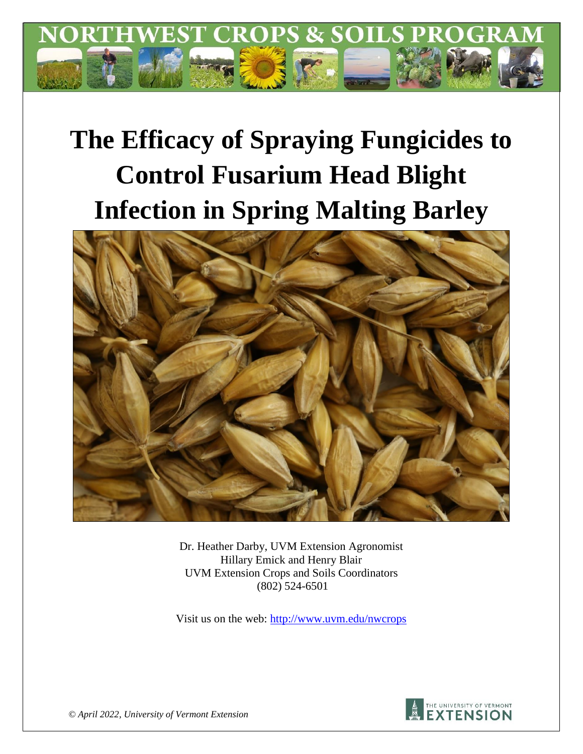

# **The Efficacy of Spraying Fungicides to Control Fusarium Head Blight Infection in Spring Malting Barley**



Dr. Heather Darby, UVM Extension Agronomist Hillary Emick and Henry Blair UVM Extension Crops and Soils Coordinators (802) 524-6501

Visit us on the web:<http://www.uvm.edu/nwcrops>



*© April 2022, University of Vermont Extension*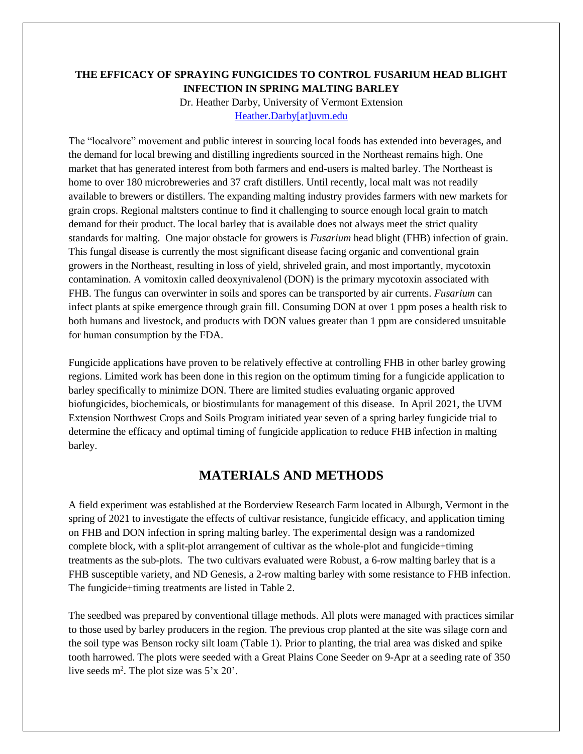#### **THE EFFICACY OF SPRAYING FUNGICIDES TO CONTROL FUSARIUM HEAD BLIGHT INFECTION IN SPRING MALTING BARLEY**

Dr. Heather Darby, University of Vermont Extension [Heather.Darby\[at\]uvm.edu](mailto:Heather.Darby@uvm.edu)

The "localvore" movement and public interest in sourcing local foods has extended into beverages, and the demand for local brewing and distilling ingredients sourced in the Northeast remains high. One market that has generated interest from both farmers and end-users is malted barley. The Northeast is home to over 180 microbreweries and 37 craft distillers. Until recently, local malt was not readily available to brewers or distillers. The expanding malting industry provides farmers with new markets for grain crops. Regional maltsters continue to find it challenging to source enough local grain to match demand for their product. The local barley that is available does not always meet the strict quality standards for malting. One major obstacle for growers is *Fusarium* head blight (FHB) infection of grain. This fungal disease is currently the most significant disease facing organic and conventional grain growers in the Northeast, resulting in loss of yield, shriveled grain, and most importantly, mycotoxin contamination. A vomitoxin called deoxynivalenol (DON) is the primary mycotoxin associated with FHB. The fungus can overwinter in soils and spores can be transported by air currents. *Fusarium* can infect plants at spike emergence through grain fill. Consuming DON at over 1 ppm poses a health risk to both humans and livestock, and products with DON values greater than 1 ppm are considered unsuitable for human consumption by the FDA.

Fungicide applications have proven to be relatively effective at controlling FHB in other barley growing regions. Limited work has been done in this region on the optimum timing for a fungicide application to barley specifically to minimize DON. There are limited studies evaluating organic approved biofungicides, biochemicals, or biostimulants for management of this disease. In April 2021, the UVM Extension Northwest Crops and Soils Program initiated year seven of a spring barley fungicide trial to determine the efficacy and optimal timing of fungicide application to reduce FHB infection in malting barley.

## **MATERIALS AND METHODS**

A field experiment was established at the Borderview Research Farm located in Alburgh, Vermont in the spring of 2021 to investigate the effects of cultivar resistance, fungicide efficacy, and application timing on FHB and DON infection in spring malting barley. The experimental design was a randomized complete block, with a split-plot arrangement of cultivar as the whole-plot and fungicide+timing treatments as the sub-plots. The two cultivars evaluated were Robust, a 6-row malting barley that is a FHB susceptible variety, and ND Genesis, a 2-row malting barley with some resistance to FHB infection. The fungicide+timing treatments are listed in Table 2.

The seedbed was prepared by conventional tillage methods. All plots were managed with practices similar to those used by barley producers in the region. The previous crop planted at the site was silage corn and the soil type was Benson rocky silt loam (Table 1). Prior to planting, the trial area was disked and spike tooth harrowed. The plots were seeded with a Great Plains Cone Seeder on 9-Apr at a seeding rate of 350 live seeds  $m^2$ . The plot size was  $5'x 20'$ .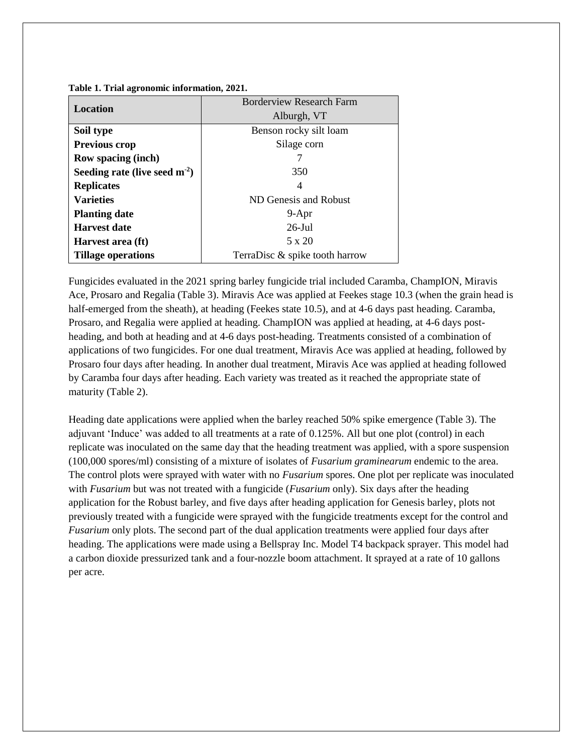**Table 1. Trial agronomic information, 2021.** 

|                                | <b>Borderview Research Farm</b> |  |  |  |  |
|--------------------------------|---------------------------------|--|--|--|--|
| <b>Location</b>                | Alburgh, VT                     |  |  |  |  |
| Soil type                      | Benson rocky silt loam          |  |  |  |  |
| Previous crop                  | Silage corn                     |  |  |  |  |
| <b>Row spacing (inch)</b>      |                                 |  |  |  |  |
| Seeding rate (live seed $m2$ ) | 350                             |  |  |  |  |
| <b>Replicates</b>              | 4                               |  |  |  |  |
| <b>Varieties</b>               | ND Genesis and Robust           |  |  |  |  |
| <b>Planting date</b>           | $9-Apr$                         |  |  |  |  |
| <b>Harvest date</b>            | $26$ -Jul                       |  |  |  |  |
| Harvest area (ft)              | 5 x 20                          |  |  |  |  |
| <b>Tillage operations</b>      | TerraDisc & spike tooth harrow  |  |  |  |  |

Fungicides evaluated in the 2021 spring barley fungicide trial included Caramba, ChampION, Miravis Ace, Prosaro and Regalia (Table 3). Miravis Ace was applied at Feekes stage 10.3 (when the grain head is half-emerged from the sheath), at heading (Feekes state 10.5), and at 4-6 days past heading. Caramba, Prosaro, and Regalia were applied at heading. ChampION was applied at heading, at 4-6 days postheading, and both at heading and at 4-6 days post-heading. Treatments consisted of a combination of applications of two fungicides. For one dual treatment, Miravis Ace was applied at heading, followed by Prosaro four days after heading. In another dual treatment, Miravis Ace was applied at heading followed by Caramba four days after heading. Each variety was treated as it reached the appropriate state of maturity (Table 2).

Heading date applications were applied when the barley reached 50% spike emergence (Table 3). The adjuvant 'Induce' was added to all treatments at a rate of 0.125%. All but one plot (control) in each replicate was inoculated on the same day that the heading treatment was applied, with a spore suspension (100,000 spores/ml) consisting of a mixture of isolates of *Fusarium graminearum* endemic to the area. The control plots were sprayed with water with no *Fusarium* spores. One plot per replicate was inoculated with *Fusarium* but was not treated with a fungicide (*Fusarium* only). Six days after the heading application for the Robust barley, and five days after heading application for Genesis barley, plots not previously treated with a fungicide were sprayed with the fungicide treatments except for the control and *Fusarium* only plots. The second part of the dual application treatments were applied four days after heading. The applications were made using a Bellspray Inc. Model T4 backpack sprayer. This model had a carbon dioxide pressurized tank and a four-nozzle boom attachment. It sprayed at a rate of 10 gallons per acre.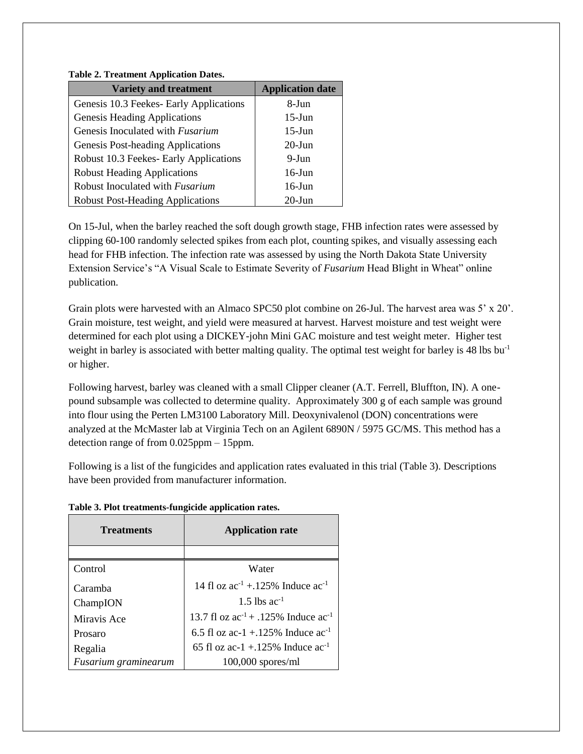#### **Table 2. Treatment Application Dates.**

| <b>Variety and treatment</b>            | <b>Application date</b> |
|-----------------------------------------|-------------------------|
| Genesis 10.3 Feekes- Early Applications | 8-Jun                   |
| Genesis Heading Applications            | $15$ -Jun               |
| Genesis Inoculated with <i>Fusarium</i> | $15$ -Jun               |
| Genesis Post-heading Applications       | $20$ -Jun               |
| Robust 10.3 Feekes- Early Applications  | $9-J$ un                |
| <b>Robust Heading Applications</b>      | $16$ -Jun               |
| Robust Inoculated with Fusarium         | $16$ -Jun               |
| <b>Robust Post-Heading Applications</b> | $20$ -Jun               |

On 15-Jul, when the barley reached the soft dough growth stage, FHB infection rates were assessed by clipping 60-100 randomly selected spikes from each plot, counting spikes, and visually assessing each head for FHB infection. The infection rate was assessed by using the North Dakota State University Extension Service's "A Visual Scale to Estimate Severity of *Fusarium* Head Blight in Wheat" online publication.

Grain plots were harvested with an Almaco SPC50 plot combine on 26-Jul. The harvest area was 5' x 20'. Grain moisture, test weight, and yield were measured at harvest. Harvest moisture and test weight were determined for each plot using a DICKEY-john Mini GAC moisture and test weight meter. Higher test weight in barley is associated with better malting quality. The optimal test weight for barley is 48 lbs bu<sup>-1</sup> or higher.

Following harvest, barley was cleaned with a small Clipper cleaner (A.T. Ferrell, Bluffton, IN). A onepound subsample was collected to determine quality. Approximately 300 g of each sample was ground into flour using the Perten LM3100 Laboratory Mill. Deoxynivalenol (DON) concentrations were analyzed at the McMaster lab at Virginia Tech on an Agilent 6890N / 5975 GC/MS. This method has a detection range of from 0.025ppm – 15ppm.

Following is a list of the fungicides and application rates evaluated in this trial (Table 3). Descriptions have been provided from manufacturer information.

| <b>Treatments</b>    | <b>Application rate</b>                       |  |  |
|----------------------|-----------------------------------------------|--|--|
|                      |                                               |  |  |
| Control              | Water                                         |  |  |
| Caramba              | 14 fl oz $ac^{-1}$ +.125% Induce $ac^{-1}$    |  |  |
| ChampION             | 1.5 lbs $ac^{-1}$                             |  |  |
| Miravis Ace          | 13.7 fl oz $ac^{-1}$ + .125% Induce $ac^{-1}$ |  |  |
| Prosaro              | 6.5 fl oz ac-1 +.125% Induce $ac^{-1}$        |  |  |
| Regalia              | 65 fl oz ac-1 +.125% Induce $ac^{-1}$         |  |  |
| Fusarium graminearum | $100,000$ spores/ml                           |  |  |

**Table 3. Plot treatments-fungicide application rates.**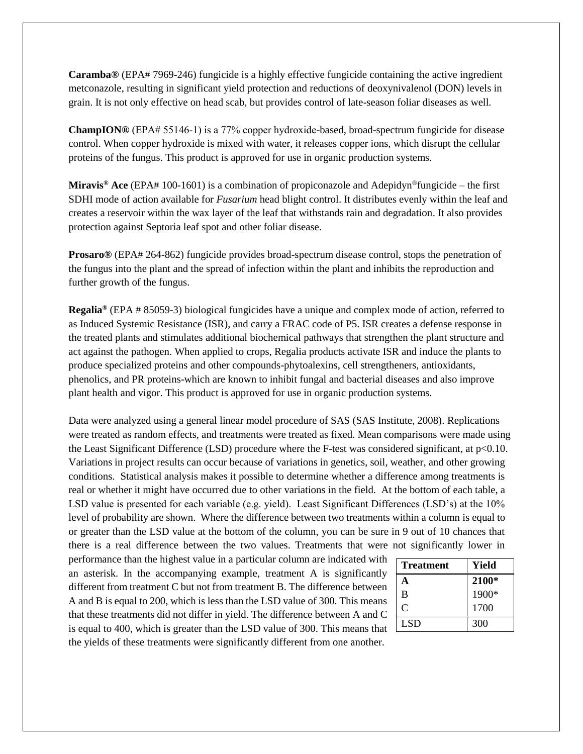**Caramba®** (EPA# 7969-246) fungicide is a highly effective fungicide containing the active ingredient metconazole, resulting in significant yield protection and reductions of deoxynivalenol (DON) levels in grain. It is not only effective on head scab, but provides control of late-season foliar diseases as well.

**ChampION®** (EPA# 55146‐1) is a 77% copper hydroxide-based, broad-spectrum fungicide for disease control. When copper hydroxide is mixed with water, it releases copper ions, which disrupt the cellular proteins of the fungus. This product is approved for use in organic production systems.

**Miravis® Ace** (EPA# 100-1601) is a combination of propiconazole and Adepidyn®fungicide – the first SDHI mode of action available for *Fusarium* head blight control. It distributes evenly within the leaf and creates a reservoir within the wax layer of the leaf that withstands rain and degradation. It also provides protection against Septoria leaf spot and other foliar disease.

**Prosaro®** (EPA# 264-862) fungicide provides broad-spectrum disease control, stops the penetration of the fungus into the plant and the spread of infection within the plant and inhibits the reproduction and further growth of the fungus.

**Regalia®** (EPA # 85059-3) biological fungicides have a unique and complex mode of action, referred to as Induced Systemic Resistance (ISR), and carry a FRAC code of P5. ISR creates a defense response in the treated plants and stimulates additional biochemical pathways that strengthen the plant structure and act against the pathogen. When applied to crops, Regalia products activate ISR and induce the plants to produce specialized proteins and other compounds-phytoalexins, cell strengtheners, antioxidants, phenolics, and PR proteins-which are known to inhibit fungal and bacterial diseases and also improve plant health and vigor. This product is approved for use in organic production systems.

Data were analyzed using a general linear model procedure of SAS (SAS Institute, 2008). Replications were treated as random effects, and treatments were treated as fixed. Mean comparisons were made using the Least Significant Difference (LSD) procedure where the F-test was considered significant, at p<0.10. Variations in project results can occur because of variations in genetics, soil, weather, and other growing conditions. Statistical analysis makes it possible to determine whether a difference among treatments is real or whether it might have occurred due to other variations in the field. At the bottom of each table, a LSD value is presented for each variable (e.g. yield). Least Significant Differences (LSD's) at the 10% level of probability are shown. Where the difference between two treatments within a column is equal to or greater than the LSD value at the bottom of the column, you can be sure in 9 out of 10 chances that there is a real difference between the two values. Treatments that were not significantly lower in

performance than the highest value in a particular column are indicated with an asterisk. In the accompanying example, treatment A is significantly different from treatment C but not from treatment B. The difference between A and B is equal to 200, which is less than the LSD value of 300. This means that these treatments did not differ in yield. The difference between A and C is equal to 400, which is greater than the LSD value of 300. This means that the yields of these treatments were significantly different from one another.

| <b>Treatment</b> | Yield |
|------------------|-------|
| A                | 2100* |
| B                | 1900* |
| $\mathcal{C}$    | 1700  |
| LSD <sub>1</sub> | 300   |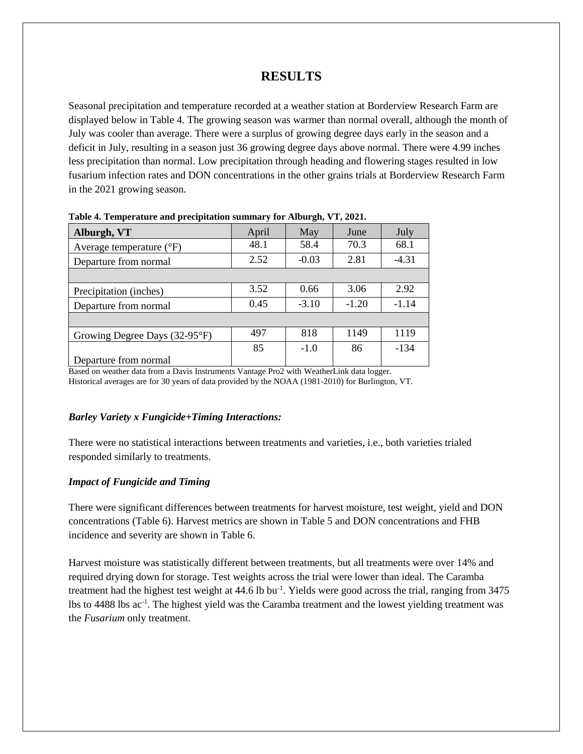## **RESULTS**

Seasonal precipitation and temperature recorded at a weather station at Borderview Research Farm are displayed below in Table 4. The growing season was warmer than normal overall, although the month of July was cooler than average. There were a surplus of growing degree days early in the season and a deficit in July, resulting in a season just 36 growing degree days above normal. There were 4.99 inches less precipitation than normal. Low precipitation through heading and flowering stages resulted in low fusarium infection rates and DON concentrations in the other grains trials at Borderview Research Farm in the 2021 growing season.

| Alburgh, VT                         | April | May     | June    | July    |
|-------------------------------------|-------|---------|---------|---------|
| Average temperature $({}^{\circ}F)$ | 48.1  | 58.4    | 70.3    | 68.1    |
| Departure from normal               | 2.52  | $-0.03$ | 2.81    | $-4.31$ |
|                                     |       |         |         |         |
| Precipitation (inches)              | 3.52  | 0.66    | 3.06    | 2.92    |
| Departure from normal               | 0.45  | $-3.10$ | $-1.20$ | $-1.14$ |
|                                     |       |         |         |         |
| Growing Degree Days (32-95°F)       | 497   | 818     | 1149    | 1119    |
|                                     | 85    | $-1.0$  | 86      | $-134$  |
| Departure from normal               |       |         |         |         |

**Table 4. Temperature and precipitation summary for Alburgh, VT, 2021.**

Based on weather data from a Davis Instruments Vantage Pro2 with WeatherLink data logger. Historical averages are for 30 years of data provided by the NOAA (1981-2010) for Burlington, VT.

#### *Barley Variety x Fungicide+Timing Interactions:*

There were no statistical interactions between treatments and varieties, i.e., both varieties trialed responded similarly to treatments.

#### *Impact of Fungicide and Timing*

There were significant differences between treatments for harvest moisture, test weight, yield and DON concentrations (Table 6). Harvest metrics are shown in Table 5 and DON concentrations and FHB incidence and severity are shown in Table 6.

Harvest moisture was statistically different between treatments, but all treatments were over 14% and required drying down for storage. Test weights across the trial were lower than ideal. The Caramba treatment had the highest test weight at 44.6 lb bu<sup>-1</sup>. Yields were good across the trial, ranging from 3475 lbs to 4488 lbs ac<sup>-1</sup>. The highest yield was the Caramba treatment and the lowest yielding treatment was the *Fusarium* only treatment.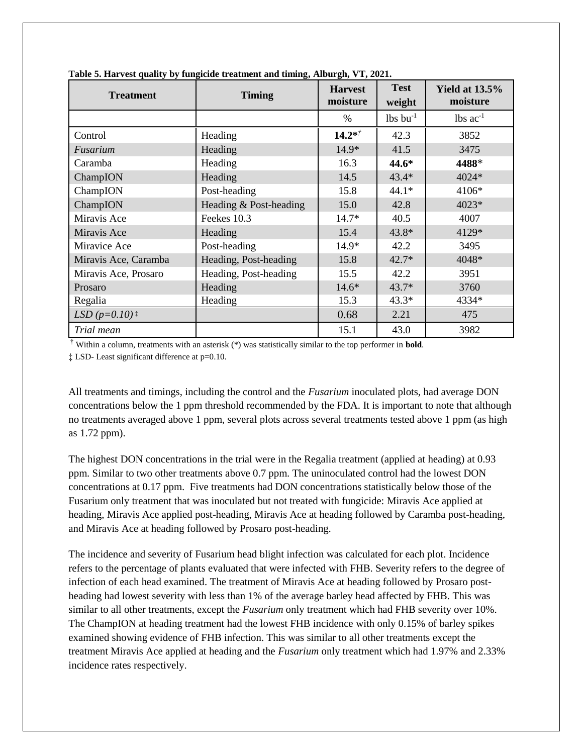| <b>Treatment</b>            | <b>Timing</b>          | <b>Harvest</b><br>moisture | <b>Test</b><br>weight  | <b>Yield at 13.5%</b><br>moisture |
|-----------------------------|------------------------|----------------------------|------------------------|-----------------------------------|
|                             |                        | %                          | $lbs$ bu <sup>-1</sup> | $lbs$ ac <sup>-1</sup>            |
| Control                     | Heading                | $14.2*^{\dagger}$          | 42.3                   | 3852                              |
| Fusarium                    | Heading                | 14.9*                      | 41.5                   | 3475                              |
| Caramba                     | Heading                | 16.3                       | 44.6*                  | 4488*                             |
| ChampION                    | Heading                | 14.5                       | $43.4*$                | 4024*                             |
| ChampION                    | Post-heading           | 15.8                       | $44.1*$                | 4106*                             |
| ChampION                    | Heading & Post-heading | 15.0                       | 42.8                   | 4023*                             |
| Miravis Ace                 | Feekes 10.3            | $14.7*$                    | 40.5                   | 4007                              |
| Miravis Ace                 | Heading                | 15.4                       | $43.8*$                | 4129*                             |
| Miravice Ace                | Post-heading           | $14.9*$                    | 42.2                   | 3495                              |
| Miravis Ace, Caramba        | Heading, Post-heading  | 15.8                       | $42.7*$                | 4048*                             |
| Miravis Ace, Prosaro        | Heading, Post-heading  | 15.5                       | 42.2                   | 3951                              |
| Prosaro                     | Heading                | $14.6*$                    | $43.7*$                | 3760                              |
| Regalia                     | Heading                | 15.3                       | $43.3*$                | 4334*                             |
| LSD $(p=0.10)$ <sup>*</sup> |                        | 0.68                       | 2.21                   | 475                               |
| Trial mean                  |                        | 15.1                       | 43.0                   | 3982                              |

**Table 5. Harvest quality by fungicide treatment and timing, Alburgh, VT, 2021.** 

† Within a column, treatments with an asterisk (\*) was statistically similar to the top performer in **bold**.

‡ LSD- Least significant difference at p=0.10.

All treatments and timings, including the control and the *Fusarium* inoculated plots, had average DON concentrations below the 1 ppm threshold recommended by the FDA. It is important to note that although no treatments averaged above 1 ppm, several plots across several treatments tested above 1 ppm (as high as 1.72 ppm).

The highest DON concentrations in the trial were in the Regalia treatment (applied at heading) at 0.93 ppm. Similar to two other treatments above 0.7 ppm. The uninoculated control had the lowest DON concentrations at 0.17 ppm. Five treatments had DON concentrations statistically below those of the Fusarium only treatment that was inoculated but not treated with fungicide: Miravis Ace applied at heading, Miravis Ace applied post-heading, Miravis Ace at heading followed by Caramba post-heading, and Miravis Ace at heading followed by Prosaro post-heading.

The incidence and severity of Fusarium head blight infection was calculated for each plot. Incidence refers to the percentage of plants evaluated that were infected with FHB. Severity refers to the degree of infection of each head examined. The treatment of Miravis Ace at heading followed by Prosaro postheading had lowest severity with less than 1% of the average barley head affected by FHB. This was similar to all other treatments, except the *Fusarium* only treatment which had FHB severity over 10%. The ChampION at heading treatment had the lowest FHB incidence with only 0.15% of barley spikes examined showing evidence of FHB infection. This was similar to all other treatments except the treatment Miravis Ace applied at heading and the *Fusarium* only treatment which had 1.97% and 2.33% incidence rates respectively.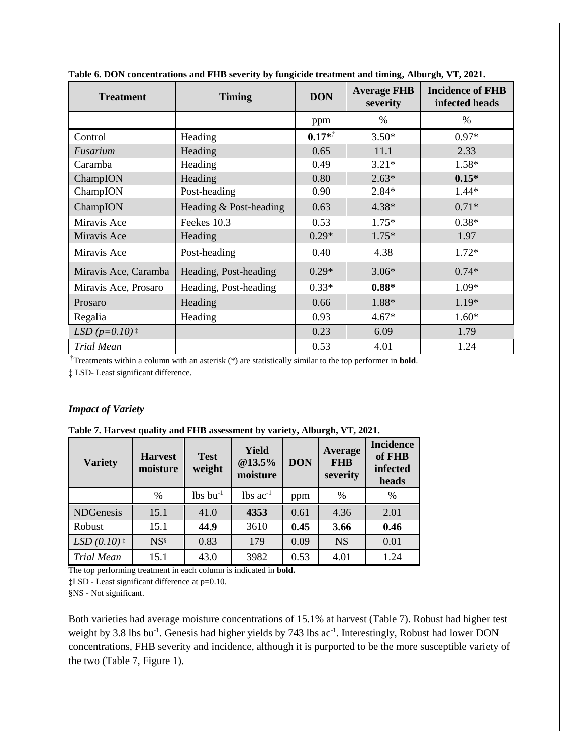| <b>Treatment</b>            | <b>Timing</b>          | <b>DON</b> | <b>Average FHB</b><br>severity | <b>Incidence of FHB</b><br>infected heads |  |  |
|-----------------------------|------------------------|------------|--------------------------------|-------------------------------------------|--|--|
|                             |                        | ppm        | $\%$                           | %                                         |  |  |
| Control                     | Heading                | $0.17*$    | $3.50*$                        | $0.97*$                                   |  |  |
| Fusarium                    | Heading                | 0.65       | 11.1                           | 2.33                                      |  |  |
| Caramba                     | Heading                | 0.49       | $3.21*$                        | $1.58*$                                   |  |  |
| ChampION                    | Heading                | 0.80       | $2.63*$                        | $0.15*$                                   |  |  |
| ChampION                    | Post-heading           | 0.90       | $2.84*$                        | $1.44*$                                   |  |  |
| ChampION                    | Heading & Post-heading | 0.63       | 4.38*                          | $0.71*$                                   |  |  |
| Miravis Ace                 | Feekes 10.3            | 0.53       | $1.75*$                        | $0.38*$                                   |  |  |
| Miravis Ace                 | Heading                | $0.29*$    | $1.75*$                        | 1.97                                      |  |  |
| Miravis Ace                 | Post-heading           | 0.40       | 4.38                           | $1.72*$                                   |  |  |
| Miravis Ace, Caramba        | Heading, Post-heading  | $0.29*$    | $3.06*$                        | $0.74*$                                   |  |  |
| Miravis Ace, Prosaro        | Heading, Post-heading  | $0.33*$    | $0.88*$                        | 1.09*                                     |  |  |
| Prosaro                     | Heading                | 0.66       | 1.88*                          | 1.19*                                     |  |  |
| Regalia                     | Heading                | 0.93       | $4.67*$                        | $1.60*$                                   |  |  |
| LSD $(p=0.10)$ <sup>:</sup> |                        | 0.23       | 6.09                           | 1.79                                      |  |  |
| <b>Trial Mean</b>           |                        | 0.53       | 4.01                           | 1.24                                      |  |  |

**Table 6. DON concentrations and FHB severity by fungicide treatment and timing, Alburgh, VT, 2021.** 

†Treatments within a column with an asterisk (\*) are statistically similar to the top performer in **bold**.

‡ LSD- Least significant difference.

#### *Impact of Variety*

| <b>Variety</b>           | <b>Harvest</b><br>moisture | <b>Test</b><br>weight  | Yield<br>@13.5%<br>moisture | <b>DON</b> | Average<br><b>FHB</b><br>severity | <b>Incidence</b><br>of FHB<br>infected<br>heads |
|--------------------------|----------------------------|------------------------|-----------------------------|------------|-----------------------------------|-------------------------------------------------|
|                          | $\frac{0}{0}$              | $lbs$ bu <sup>-1</sup> | $lbs$ ac <sup>-1</sup>      | ppm        | $\frac{0}{0}$                     | $\%$                                            |
| <b>NDGenesis</b>         | 15.1                       | 41.0                   | 4353                        | 0.61       | 4.36                              | 2.01                                            |
| Robust                   | 15.1                       | 44.9                   | 3610                        | 0.45       | 3.66                              | 0.46                                            |
| $LSD(0.10)$ <sup>*</sup> | NS <sup>§</sup>            | 0.83                   | 179                         | 0.09       | <b>NS</b>                         | 0.01                                            |
| <b>Trial Mean</b>        | 15.1                       | 43.0                   | 3982                        | 0.53       | 4.01                              | 1.24                                            |

**Table 7. Harvest quality and FHB assessment by variety, Alburgh, VT, 2021.**

The top performing treatment in each column is indicated in **bold.**

**‡**LSD - Least significant difference at p=0.10.

§NS - Not significant.

Both varieties had average moisture concentrations of 15.1% at harvest (Table 7). Robust had higher test weight by 3.8 lbs bu<sup>-1</sup>. Genesis had higher yields by 743 lbs ac<sup>-1</sup>. Interestingly, Robust had lower DON concentrations, FHB severity and incidence, although it is purported to be the more susceptible variety of the two (Table 7, Figure 1).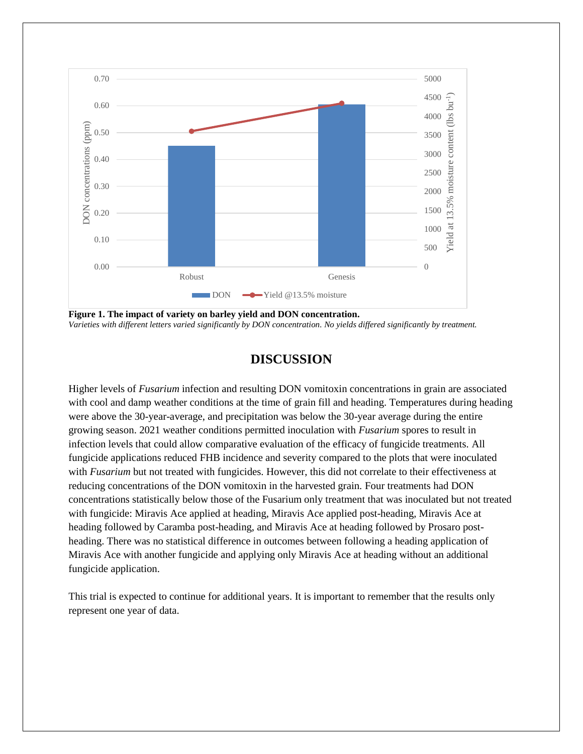

**Figure 1. The impact of variety on barley yield and DON concentration.** *Varieties with different letters varied significantly by DON concentration. No yields differed significantly by treatment.* 

## **DISCUSSION**

Higher levels of *Fusarium* infection and resulting DON vomitoxin concentrations in grain are associated with cool and damp weather conditions at the time of grain fill and heading. Temperatures during heading were above the 30-year-average, and precipitation was below the 30-year average during the entire growing season. 2021 weather conditions permitted inoculation with *Fusarium* spores to result in infection levels that could allow comparative evaluation of the efficacy of fungicide treatments. All fungicide applications reduced FHB incidence and severity compared to the plots that were inoculated with *Fusarium* but not treated with fungicides. However, this did not correlate to their effectiveness at reducing concentrations of the DON vomitoxin in the harvested grain. Four treatments had DON concentrations statistically below those of the Fusarium only treatment that was inoculated but not treated with fungicide: Miravis Ace applied at heading, Miravis Ace applied post-heading, Miravis Ace at heading followed by Caramba post-heading, and Miravis Ace at heading followed by Prosaro postheading. There was no statistical difference in outcomes between following a heading application of Miravis Ace with another fungicide and applying only Miravis Ace at heading without an additional fungicide application.

This trial is expected to continue for additional years. It is important to remember that the results only represent one year of data.